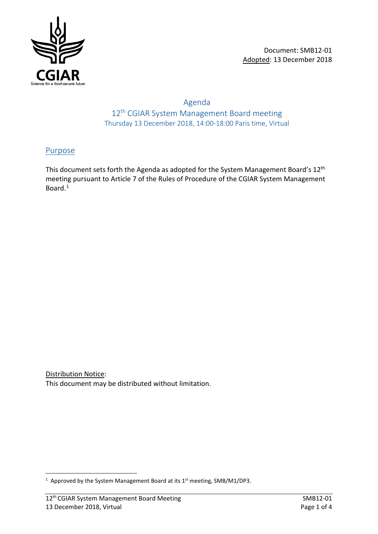

## Agenda 12<sup>th</sup> CGIAR System Management Board meeting Thursday 13 December 2018, 14:00-18:00 Paris time, Virtual

## Purpose

This document sets forth the Agenda as adopted for the System Management Board's 12<sup>th</sup> meeting pursuant to Article 7 of the Rules of Procedure of the CGIAR System Management Board.[1](#page-0-0)

Distribution Notice: This document may be distributed without limitation.

<span id="page-0-0"></span> $\frac{1}{1}$ <sup>1</sup> Approved by the System Management Board at its  $1<sup>st</sup>$  meeting, SMB/M1/DP3.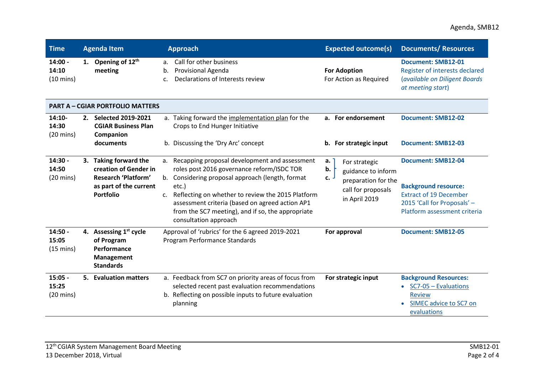## Agenda, SMB12

| <b>Time</b>                               |  | <b>Agenda Item</b>                                                                                                  | <b>Approach</b>                                                                                                                                                                                                                                                                                                                                                           | <b>Expected outcome(s)</b>                                                                                          | <b>Documents/ Resources</b>                                                                                                                              |  |  |
|-------------------------------------------|--|---------------------------------------------------------------------------------------------------------------------|---------------------------------------------------------------------------------------------------------------------------------------------------------------------------------------------------------------------------------------------------------------------------------------------------------------------------------------------------------------------------|---------------------------------------------------------------------------------------------------------------------|----------------------------------------------------------------------------------------------------------------------------------------------------------|--|--|
| $14:00 -$<br>14:10<br>$(10 \text{ mins})$ |  | 1. Opening of $12th$<br>meeting                                                                                     | Call for other business<br>a.<br>Provisional Agenda<br>b.<br>Declarations of Interests review<br>c.                                                                                                                                                                                                                                                                       | <b>For Adoption</b><br>For Action as Required                                                                       | <b>Document: SMB12-01</b><br>Register of interests declared<br>(available on Diligent Boards<br>at meeting start)                                        |  |  |
| <b>PART A - CGIAR PORTFOLIO MATTERS</b>   |  |                                                                                                                     |                                                                                                                                                                                                                                                                                                                                                                           |                                                                                                                     |                                                                                                                                                          |  |  |
| $14:10-$<br>14:30<br>$(20 \text{ mins})$  |  | 2. Selected 2019-2021<br><b>CGIAR Business Plan</b><br>Companion                                                    | a. Taking forward the implementation plan for the<br>Crops to End Hunger Initiative                                                                                                                                                                                                                                                                                       | a. For endorsement                                                                                                  | <b>Document: SMB12-02</b>                                                                                                                                |  |  |
|                                           |  | documents                                                                                                           | b. Discussing the 'Dry Arc' concept                                                                                                                                                                                                                                                                                                                                       | b. For strategic input                                                                                              | <b>Document: SMB12-03</b>                                                                                                                                |  |  |
| 14:30 -<br>14:50<br>$(20 \text{ mins})$   |  | 3. Taking forward the<br>creation of Gender in<br>Research 'Platform'<br>as part of the current<br><b>Portfolio</b> | Recapping proposal development and assessment<br>a.<br>roles post 2016 governance reform/ISDC TOR<br>Considering proposal approach (length, format<br>b.<br>etc.)<br>Reflecting on whether to review the 2015 Platform<br>C <sub>1</sub><br>assessment criteria (based on agreed action AP1<br>from the SC7 meeting), and if so, the appropriate<br>consultation approach | a.<br>For strategic<br>b.<br>guidance to inform<br>c.<br>preparation for the<br>call for proposals<br>in April 2019 | <b>Document: SMB12-04</b><br><b>Background resource:</b><br><b>Extract of 19 December</b><br>2015 'Call for Proposals' -<br>Platform assessment criteria |  |  |
| $14:50 -$<br>15:05<br>$(15 \text{ mins})$ |  | 4. Assessing 1 <sup>st</sup> cycle<br>of Program<br>Performance<br>Management<br><b>Standards</b>                   | Approval of 'rubrics' for the 6 agreed 2019-2021<br>Program Performance Standards                                                                                                                                                                                                                                                                                         | For approval                                                                                                        | <b>Document: SMB12-05</b>                                                                                                                                |  |  |
| $15:05 -$<br>15:25<br>$(20 \text{ mins})$ |  | 5. Evaluation matters                                                                                               | a. Feedback from SC7 on priority areas of focus from<br>selected recent past evaluation recommendations<br>b. Reflecting on possible inputs to future evaluation<br>planning                                                                                                                                                                                              | For strategic input                                                                                                 | <b>Background Resources:</b><br>$\bullet$ SC7-05 - Evaluations<br><b>Review</b><br>SIMEC advice to SC7 on<br>evaluations                                 |  |  |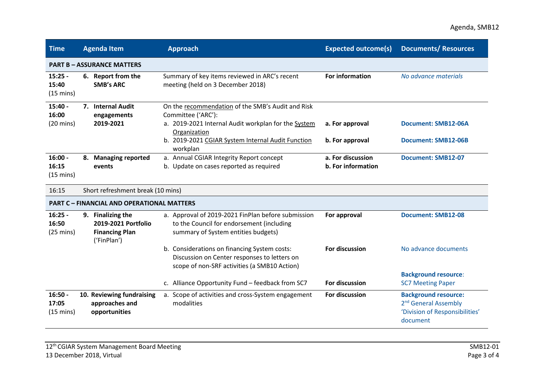## Agenda, SMB12

| <b>Time</b>                                       | <b>Agenda Item</b>                                                               | <b>Approach</b>                                                                                                                                | <b>Expected outcome(s)</b>              | <b>Documents/ Resources</b>                                                                                   |  |  |  |
|---------------------------------------------------|----------------------------------------------------------------------------------|------------------------------------------------------------------------------------------------------------------------------------------------|-----------------------------------------|---------------------------------------------------------------------------------------------------------------|--|--|--|
| <b>PART B - ASSURANCE MATTERS</b>                 |                                                                                  |                                                                                                                                                |                                         |                                                                                                               |  |  |  |
| $15:25 -$<br>15:40<br>$(15 \text{ mins})$         | 6. Report from the<br><b>SMB's ARC</b>                                           | Summary of key items reviewed in ARC's recent<br>meeting (held on 3 December 2018)                                                             | For information                         | No advance materials                                                                                          |  |  |  |
| $15:40 -$<br>16:00<br>$(20 \text{ mins})$         | 7. Internal Audit<br>engagements<br>2019-2021                                    | On the recommendation of the SMB's Audit and Risk<br>Committee ('ARC'):<br>a. 2019-2021 Internal Audit workplan for the System<br>Organization | a. For approval                         | <b>Document: SMB12-06A</b>                                                                                    |  |  |  |
|                                                   |                                                                                  | b. 2019-2021 CGIAR System Internal Audit Function<br>workplan                                                                                  | b. For approval                         | <b>Document: SMB12-06B</b>                                                                                    |  |  |  |
| $16:00 -$<br>16:15<br>$(15 \text{ mins})$         | 8. Managing reported<br>events                                                   | a. Annual CGIAR Integrity Report concept<br>b. Update on cases reported as required                                                            | a. For discussion<br>b. For information | <b>Document: SMB12-07</b>                                                                                     |  |  |  |
| 16:15                                             |                                                                                  | Short refreshment break (10 mins)                                                                                                              |                                         |                                                                                                               |  |  |  |
| <b>PART C - FINANCIAL AND OPERATIONAL MATTERS</b> |                                                                                  |                                                                                                                                                |                                         |                                                                                                               |  |  |  |
| $16:25 -$<br>16:50<br>$(25 \text{ mins})$         | 9. Finalizing the<br>2019-2021 Portfolio<br><b>Financing Plan</b><br>('FinPlan') | a. Approval of 2019-2021 FinPlan before submission<br>to the Council for endorsement (including<br>summary of System entities budgets)         | For approval                            | <b>Document: SMB12-08</b>                                                                                     |  |  |  |
|                                                   |                                                                                  | b. Considerations on financing System costs:<br>Discussion on Center responses to letters on<br>scope of non-SRF activities (a SMB10 Action)   | For discussion                          | No advance documents                                                                                          |  |  |  |
|                                                   |                                                                                  | c. Alliance Opportunity Fund - feedback from SC7                                                                                               | For discussion                          | <b>Background resource:</b><br><b>SC7 Meeting Paper</b>                                                       |  |  |  |
| $16:50 -$<br>17:05<br>$(15 \text{ mins})$         | 10. Reviewing fundraising<br>approaches and<br>opportunities                     | a. Scope of activities and cross-System engagement<br>modalities                                                                               | For discussion                          | <b>Background resource:</b><br>2 <sup>nd</sup> General Assembly<br>'Division of Responsibilities'<br>document |  |  |  |